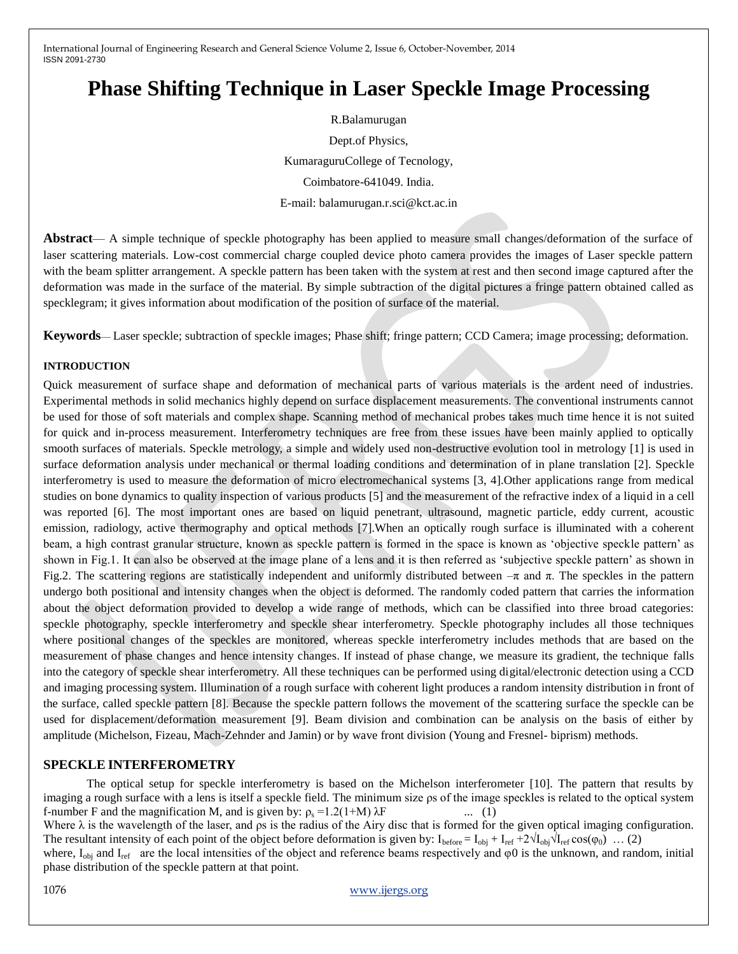# **Phase Shifting Technique in Laser Speckle Image Processing**

R.Balamurugan Dept.of Physics, KumaraguruCollege of Tecnology, Coimbatore-641049. India. E-mail: [balamurugan.r.sci@kct.ac.in](mailto:balamurugan.r.sci@kct.ac.in)

**Abstract**— A simple technique of speckle photography has been applied to measure small changes/deformation of the surface of laser scattering materials. Low-cost commercial charge coupled device photo camera provides the images of Laser speckle pattern with the beam splitter arrangement. A speckle pattern has been taken with the system at rest and then second image captured after the deformation was made in the surface of the material. By simple subtraction of the digital pictures a fringe pattern obtained called as specklegram; it gives information about modification of the position of surface of the material.

**Keywords**— Laser speckle; subtraction of speckle images; Phase shift; fringe pattern; CCD Camera; image processing; deformation.

### **INTRODUCTION**

Quick measurement of surface shape and deformation of mechanical parts of various materials is the ardent need of industries. Experimental methods in solid mechanics highly depend on surface displacement measurements. The conventional instruments cannot be used for those of soft materials and complex shape. Scanning method of mechanical probes takes much time hence it is not suited for quick and in-process measurement. Interferometry techniques are free from these issues have been mainly applied to optically smooth surfaces of materials. Speckle metrology, a simple and widely used non-destructive evolution tool in metrology [1] is used in surface deformation analysis under mechanical or thermal loading conditions and determination of in plane translation [2]. Speckle interferometry is used to measure the deformation of micro electromechanical systems [3, 4].Other applications range from medical studies on bone dynamics to quality inspection of various products [5] and the measurement of the refractive index of a liquid in a cell was reported [6]. The most important ones are based on liquid penetrant, ultrasound, magnetic particle, eddy current, acoustic emission, radiology, active thermography and optical methods [7].When an optically rough surface is illuminated with a coherent beam, a high contrast granular structure, known as speckle pattern is formed in the space is known as 'objective speckle pattern' as shown in Fig.1. It can also be observed at the image plane of a lens and it is then referred as 'subjective speckle pattern' as shown in Fig.2. The scattering regions are statistically independent and uniformly distributed between  $-\pi$  and π. The speckles in the pattern undergo both positional and intensity changes when the object is deformed. The randomly coded pattern that carries the information about the object deformation provided to develop a wide range of methods, which can be classified into three broad categories: speckle photography, speckle interferometry and speckle shear interferometry. Speckle photography includes all those techniques where positional changes of the speckles are monitored, whereas speckle interferometry includes methods that are based on the measurement of phase changes and hence intensity changes. If instead of phase change, we measure its gradient, the technique falls into the category of speckle shear interferometry. All these techniques can be performed using digital/electronic detection using a CCD and imaging processing system. Illumination of a rough surface with coherent light produces a random intensity distribution in front of the surface, called speckle pattern [8]. Because the speckle pattern follows the movement of the scattering surface the speckle can be used for displacement/deformation measurement [9]. Beam division and combination can be analysis on the basis of either by amplitude (Michelson, Fizeau, Mach-Zehnder and Jamin) or by wave front division (Young and Fresnel- biprism) methods.

### **SPECKLE INTERFEROMETRY**

The optical setup for speckle interferometry is based on the Michelson interferometer [10]. The pattern that results by imaging a rough surface with a lens is itself a speckle field. The minimum size ρs of the image speckles is related to the optical system f-number F and the magnification M, and is given by:  $\rho_s = 1.2(1+M) \lambda F$  ... (1) Where  $\lambda$  is the wavelength of the laser, and  $\rho s$  is the radius of the Airy disc that is formed for the given optical imaging configuration. The resultant intensity of each point of the object before deformation is given by:  $I_{before} = I_{obj} + I_{ref} + 2\sqrt{I_{obj}}\sqrt{I_{ref} \cos(\varphi_0)}$  ... (2) where, I<sub>obi</sub> and I<sub>ref</sub> are the local intensities of the object and reference beams respectively and  $\varphi$ 0 is the unknown, and random, initial

phase distribution of the speckle pattern at that point.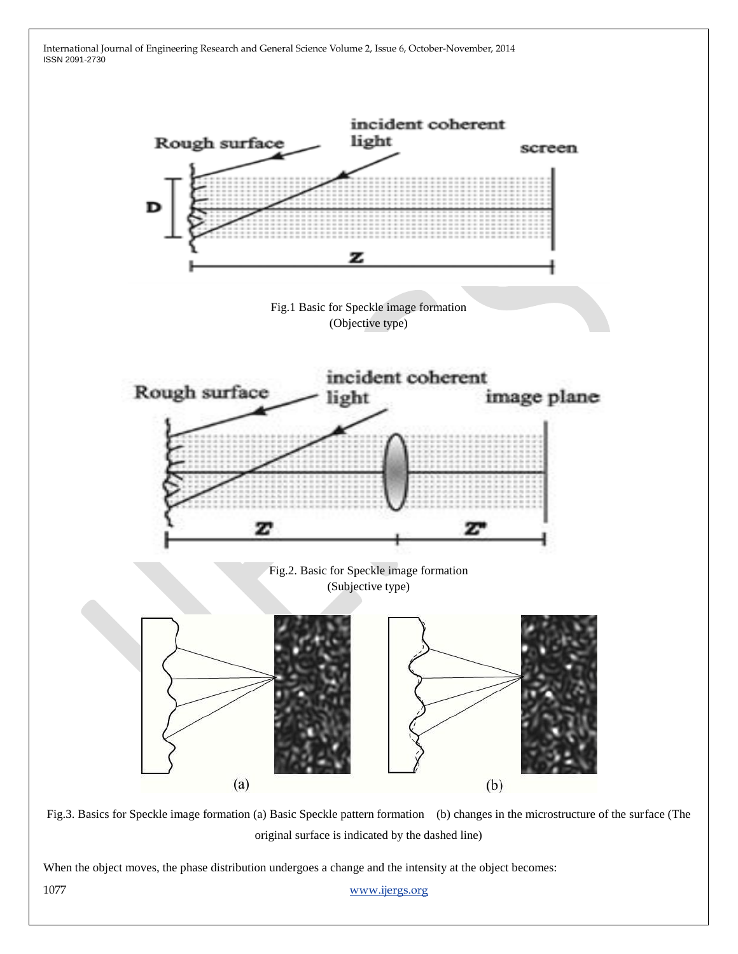

Fig.3. Basics for Speckle image formation (a) Basic Speckle pattern formation (b) changes in the microstructure of the surface (The original surface is indicated by the dashed line)

When the object moves, the phase distribution undergoes a change and the intensity at the object becomes:

1077 www.ijergs.org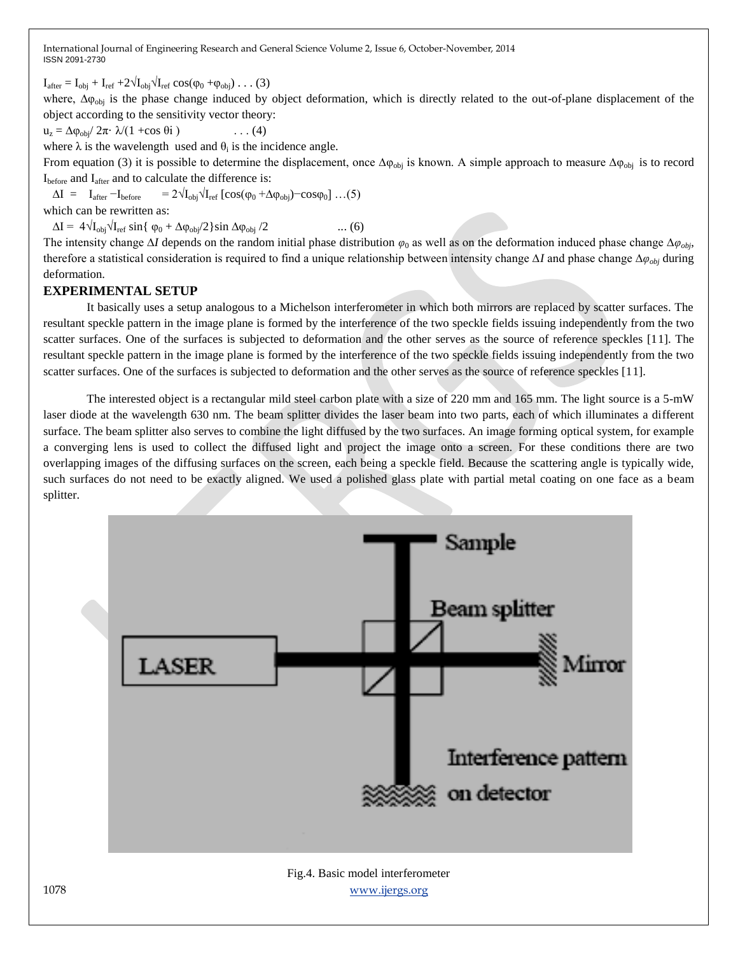$I_{\text{after}} = I_{\text{obj}} + I_{\text{ref}} + 2\sqrt{I_{\text{obj}}}\sqrt{I_{\text{ref}}}\cos(\varphi_0 + \varphi_{\text{obj}})\dots$  (3)

where, Δ $φ$ <sub>obj</sub> is the phase change induced by object deformation, which is directly related to the out-of-plane displacement of the object according to the sensitivity vector theory:

$$
u_z = \Delta \varphi_{obj} / 2\pi \cdot \lambda / (1 + \cos \theta i) \qquad \qquad \dots (4)
$$

where  $\lambda$  is the wavelength used and  $\theta_i$  is the incidence angle.

From equation (3) it is possible to determine the displacement, once  $\Delta \varphi_{obj}$  is known. A simple approach to measure  $\Delta \varphi_{obj}$  is to record Ibefore and Iafter and to calculate the difference is:

 $\Delta I = I_{after} - I_{before} = 2\sqrt{I_{obj}}\sqrt{I_{ref}} [\cos(\phi_0 + \Delta \phi_{obj}) - \cos \phi_0] \dots (5)$ 

which can be rewritten as:

 $\Delta I = 4\sqrt{I_{\text{obj}}}\sqrt{I_{\text{ref}}} \sin{\{\phi_0 + \Delta \phi_{\text{obj}}/2\}} \sin{\Delta \phi_{\text{obj}}/2}$  ... (6)

The intensity change ∆*I* depends on the random initial phase distribution *φ*<sup>0</sup> as well as on the deformation induced phase change ∆*φobj*, therefore a statistical consideration is required to find a unique relationship between intensity change ∆*I* and phase change ∆*φobj* during deformation.

### **EXPERIMENTAL SETUP**

It basically uses a setup analogous to a Michelson interferometer in which both mirrors are replaced by scatter surfaces. The resultant speckle pattern in the image plane is formed by the interference of the two speckle fields issuing independently from the two scatter surfaces. One of the surfaces is subjected to deformation and the other serves as the source of reference speckles [11]. The resultant speckle pattern in the image plane is formed by the interference of the two speckle fields issuing independently from the two scatter surfaces. One of the surfaces is subjected to deformation and the other serves as the source of reference speckles [11].

The interested object is a rectangular mild steel carbon plate with a size of 220 mm and 165 mm. The light source is a 5-mW laser diode at the wavelength 630 nm. The beam splitter divides the laser beam into two parts, each of which illuminates a different surface. The beam splitter also serves to combine the light diffused by the two surfaces. An image forming optical system, for example a converging lens is used to collect the diffused light and project the image onto a screen. For these conditions there are two overlapping images of the diffusing surfaces on the screen, each being a speckle field. Because the scattering angle is typically wide, such surfaces do not need to be exactly aligned. We used a polished glass plate with partial metal coating on one face as a beam splitter.

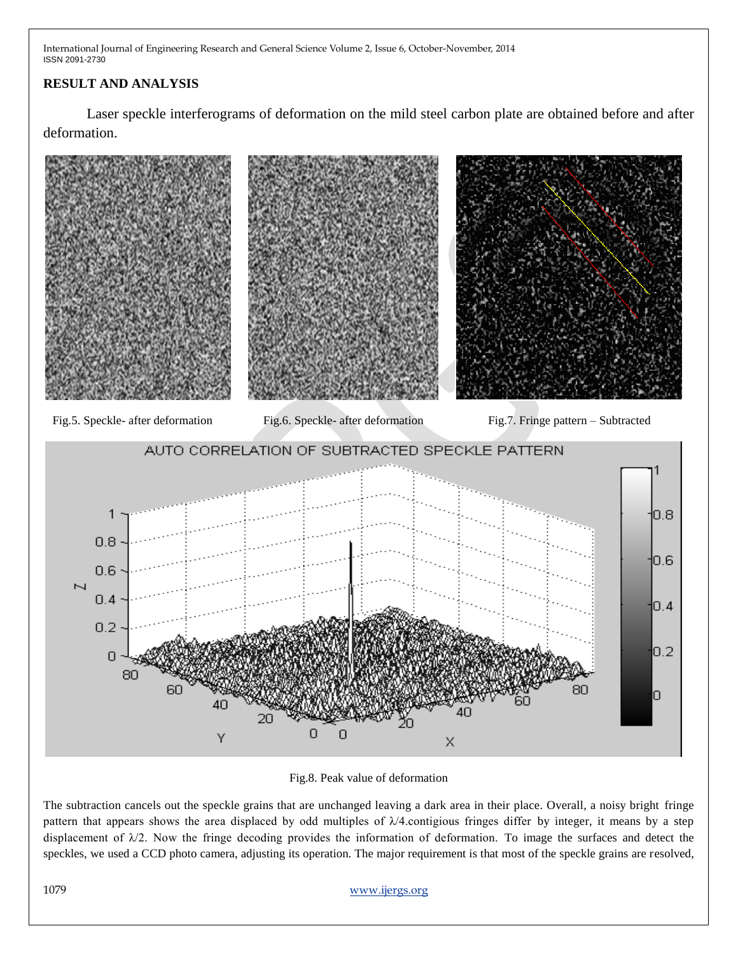## **RESULT AND ANALYSIS**

Laser speckle interferograms of deformation on the mild steel carbon plate are obtained before and after deformation.



Fig.8. Peak value of deformation

The subtraction cancels out the speckle grains that are unchanged leaving a dark area in their place. Overall, a noisy bright fringe pattern that appears shows the area displaced by odd multiples of  $\lambda/4$  contigious fringes differ by integer, it means by a step displacement of  $\lambda/2$ . Now the fringe decoding provides the information of deformation. To image the surfaces and detect the speckles, we used a CCD photo camera, adjusting its operation. The major requirement is that most of the speckle grains are resolved,